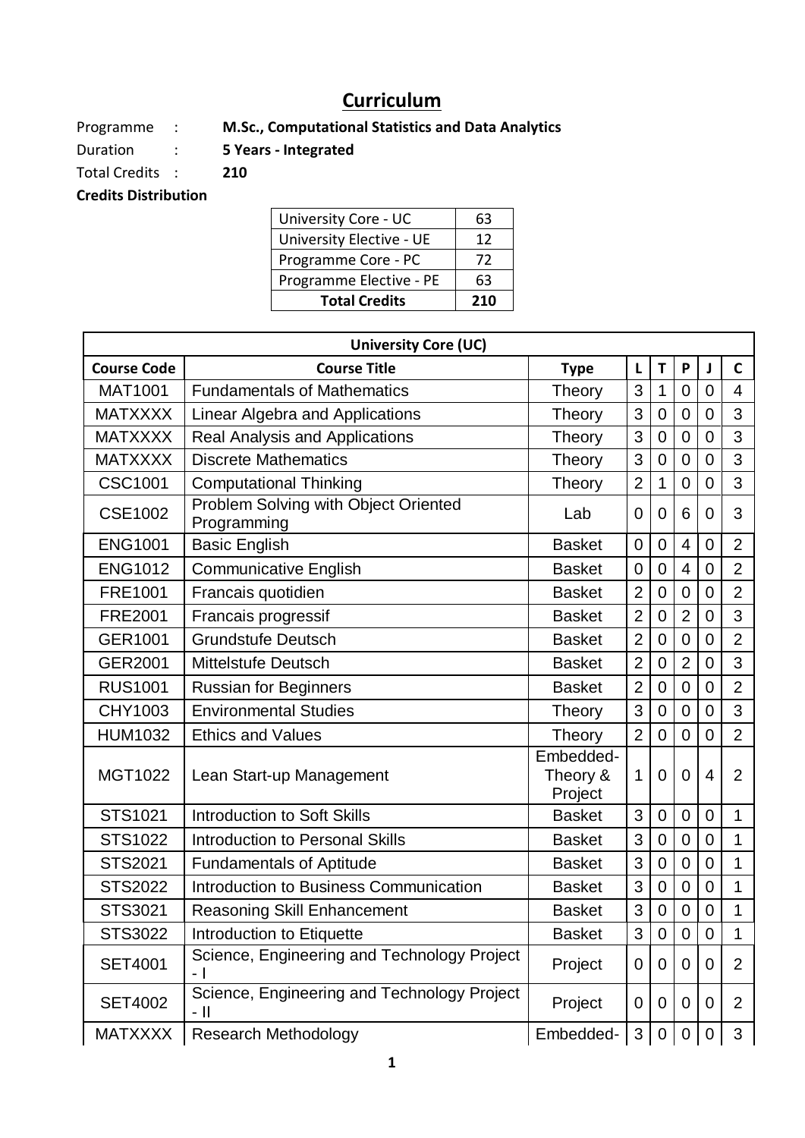## **Curriculum**

Programme : **M.Sc., Computational Statistics and Data Analytics**

Duration : **5 Years - Integrated** 

Total Credits : **210 Credits Distribution** 

University Core - UC 63

| University Elective - UE | 12  |
|--------------------------|-----|
| Programme Core - PC      | 72  |
| Programme Elective - PE  | 63  |
| <b>Total Credits</b>     | 210 |

|                    | <b>University Core (UC)</b>                         |                                  |                |                  |                |                |                |
|--------------------|-----------------------------------------------------|----------------------------------|----------------|------------------|----------------|----------------|----------------|
| <b>Course Code</b> | <b>Course Title</b>                                 | <b>Type</b>                      | L              | T                | P              | J              | $\mathsf{C}$   |
| <b>MAT1001</b>     | <b>Fundamentals of Mathematics</b>                  | Theory                           | 3              | 1                | 0              | 0              | 4              |
| <b>MATXXXX</b>     | Linear Algebra and Applications                     | Theory                           | 3              | $\overline{0}$   | $\overline{0}$ | $\overline{0}$ | 3              |
| <b>MATXXXX</b>     | Real Analysis and Applications                      | Theory                           | 3              | $\mathbf 0$      | $\overline{0}$ | $\mathbf 0$    | 3              |
| <b>MATXXXX</b>     | <b>Discrete Mathematics</b>                         | Theory                           | 3              | $\mathbf 0$      | $\overline{0}$ | $\overline{0}$ | 3              |
| <b>CSC1001</b>     | <b>Computational Thinking</b>                       | Theory                           | $\overline{2}$ | 1                | $\overline{0}$ | $\mathbf 0$    | 3              |
| <b>CSE1002</b>     | Problem Solving with Object Oriented<br>Programming | Lab                              | $\overline{0}$ | $\Omega$         | 6              | $\overline{0}$ | 3              |
| <b>ENG1001</b>     | <b>Basic English</b>                                | <b>Basket</b>                    | 0              | $\overline{0}$   | 4              | $\overline{0}$ | $\overline{2}$ |
| <b>ENG1012</b>     | <b>Communicative English</b>                        | <b>Basket</b>                    | $\mathbf 0$    | $\mathbf 0$      | $\overline{4}$ | $\overline{0}$ | $\overline{2}$ |
| <b>FRE1001</b>     | Francais quotidien                                  | <b>Basket</b>                    | $\overline{2}$ | $\overline{0}$   | $\overline{0}$ | $\overline{0}$ | $\overline{2}$ |
| <b>FRE2001</b>     | Francais progressif                                 | <b>Basket</b>                    | $\overline{2}$ | $\overline{0}$   | $\overline{2}$ | $\overline{0}$ | 3              |
| GER1001            | <b>Grundstufe Deutsch</b>                           | <b>Basket</b>                    | $\overline{2}$ | $\overline{0}$   | $\overline{0}$ | $\mathbf 0$    | $\overline{2}$ |
| <b>GER2001</b>     | <b>Mittelstufe Deutsch</b>                          | <b>Basket</b>                    | $\overline{2}$ | $\mathbf 0$      | $\overline{2}$ | $\overline{0}$ | 3              |
| <b>RUS1001</b>     | <b>Russian for Beginners</b>                        | <b>Basket</b>                    | $\overline{2}$ | $\overline{0}$   | $\overline{0}$ | $\overline{0}$ | $\overline{2}$ |
| CHY1003            | <b>Environmental Studies</b>                        | Theory                           | 3              | $\mathbf 0$      | $\overline{0}$ | $\overline{0}$ | 3              |
| <b>HUM1032</b>     | <b>Ethics and Values</b>                            | Theory                           | $\overline{2}$ | $\mathbf 0$      | $\overline{0}$ | $\mathbf 0$    | $\overline{2}$ |
| MGT1022            | Lean Start-up Management                            | Embedded-<br>Theory &<br>Project | 1              | $\overline{0}$   | $\overline{0}$ | $\overline{4}$ | $\overline{2}$ |
| STS1021            | <b>Introduction to Soft Skills</b>                  | <b>Basket</b>                    | 3              | $\mathbf 0$      | $\overline{0}$ | $\overline{0}$ | $\mathbf{1}$   |
| STS1022            | <b>Introduction to Personal Skills</b>              | <b>Basket</b>                    | 3              | $\mathbf 0$      | $\overline{0}$ | $\mathbf 0$    | $\mathbf{1}$   |
| STS2021            | <b>Fundamentals of Aptitude</b>                     | <b>Basket</b>                    | 3              | $\overline{0}$   | $\overline{0}$ | $\mathbf 0$    | 1              |
| <b>STS2022</b>     | Introduction to Business Communication              | <b>Basket</b>                    | 3              | $\overline{0}$   | $\overline{0}$ | $\overline{0}$ | 1              |
| STS3021            | <b>Reasoning Skill Enhancement</b>                  | <b>Basket</b>                    | 3              | $\mathbf 0$      | 0              | $\overline{0}$ | 1              |
| STS3022            | Introduction to Etiquette                           | Basket                           | 3              | $\Omega$         | $\overline{0}$ | $\overline{0}$ | 1              |
| <b>SET4001</b>     | Science, Engineering and Technology Project<br>- 1  | Project                          | 0              | $\mathbf 0$      | $\mathbf 0$    | $\mathbf 0$    | $\overline{2}$ |
| <b>SET4002</b>     | Science, Engineering and Technology Project<br>- 11 | Project                          | 0              | $\mathbf 0$      | 0              | $\overline{0}$ | $\overline{2}$ |
| <b>MATXXXX</b>     | <b>Research Methodology</b>                         | Embedded-                        | 3              | $\boldsymbol{0}$ | 0              | 0              | 3              |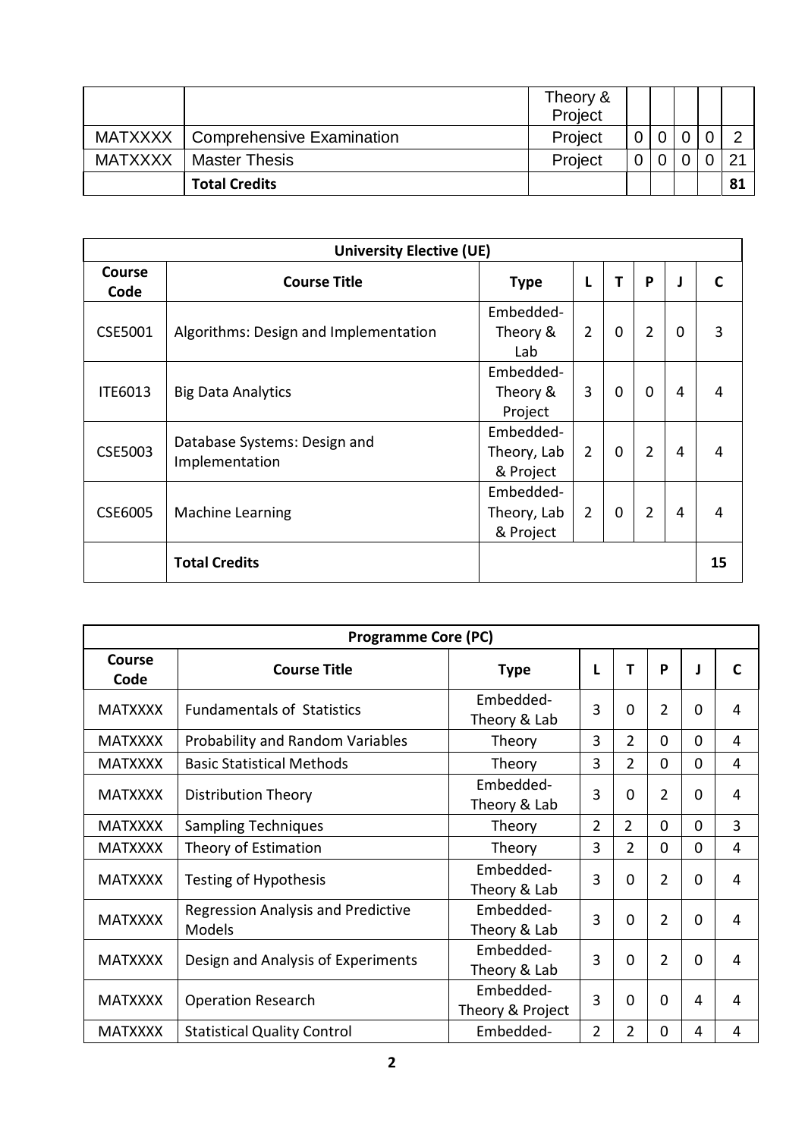|                |                                     | Theory &<br>Project |  |  |    |
|----------------|-------------------------------------|---------------------|--|--|----|
|                | MATXXXX   Comprehensive Examination | Project             |  |  |    |
| <b>MATXXXX</b> | <b>Master Thesis</b>                | Project             |  |  |    |
|                | <b>Total Credits</b>                |                     |  |  | 81 |

| <b>University Elective (UE)</b> |                                                |                                       |                |   |                |                |    |  |
|---------------------------------|------------------------------------------------|---------------------------------------|----------------|---|----------------|----------------|----|--|
| <b>Course</b><br>Code           | <b>Course Title</b>                            | <b>Type</b>                           | L              | т | P              | J              |    |  |
| CSE5001                         | Algorithms: Design and Implementation          | Embedded-<br>Theory &<br>Lab          | $\overline{2}$ | 0 | $\overline{2}$ | 0              | 3  |  |
| <b>ITE6013</b>                  | <b>Big Data Analytics</b>                      | Embedded-<br>Theory &<br>Project      | 3              | 0 | $\overline{0}$ | 4              | 4  |  |
| <b>CSE5003</b>                  | Database Systems: Design and<br>Implementation | Embedded-<br>Theory, Lab<br>& Project | $\overline{2}$ | 0 | $\overline{2}$ | 4              | 4  |  |
| <b>CSE6005</b>                  | <b>Machine Learning</b>                        | Embedded-<br>Theory, Lab<br>& Project | $\overline{2}$ | 0 | $\overline{2}$ | $\overline{4}$ | 4  |  |
|                                 | <b>Total Credits</b>                           |                                       |                |   |                |                | 15 |  |

| <b>Programme Core (PC)</b> |                                                            |                               |                |                |                |             |                |  |  |
|----------------------------|------------------------------------------------------------|-------------------------------|----------------|----------------|----------------|-------------|----------------|--|--|
| <b>Course</b><br>Code      | <b>Course Title</b>                                        | <b>Type</b>                   | L              | Т              | P              |             | C              |  |  |
| <b>MATXXXX</b>             | <b>Fundamentals of Statistics</b>                          | Embedded-<br>Theory & Lab     | 3              | $\mathbf 0$    | 2              | $\Omega$    | 4              |  |  |
| <b>MATXXXX</b>             | Probability and Random Variables                           | Theory                        | 3              | $\overline{2}$ | 0              | 0           | 4              |  |  |
| <b>MATXXXX</b>             | <b>Basic Statistical Methods</b>                           | Theory                        | 3              | $\overline{2}$ | $\overline{0}$ | $\mathbf 0$ | $\overline{4}$ |  |  |
| <b>MATXXXX</b>             | Distribution Theory                                        | Embedded-<br>Theory & Lab     |                | 0              | 2              | 0           | 4              |  |  |
| <b>MATXXXX</b>             | <b>Sampling Techniques</b>                                 | Theory                        | $\overline{2}$ | $\overline{2}$ | $\Omega$       | $\Omega$    | 3              |  |  |
| <b>MATXXXX</b>             | Theory of Estimation                                       | Theory                        | 3              | $\overline{2}$ | $\mathbf 0$    | $\mathbf 0$ | $\overline{4}$ |  |  |
| <b>MATXXXX</b>             | <b>Testing of Hypothesis</b>                               | Embedded-<br>Theory & Lab     |                | $\mathbf 0$    | 2              | $\Omega$    | 4              |  |  |
| <b>MATXXXX</b>             | <b>Regression Analysis and Predictive</b><br><b>Models</b> | Embedded-<br>Theory & Lab     | 3              | 0              | $\overline{2}$ | $\Omega$    | 4              |  |  |
| <b>MATXXXX</b>             | Design and Analysis of Experiments                         | Embedded-<br>Theory & Lab     | 3              | $\mathbf 0$    | $\overline{2}$ | $\Omega$    | 4              |  |  |
| <b>MATXXXX</b>             | <b>Operation Research</b>                                  | Embedded-<br>Theory & Project | 3              | $\mathbf 0$    | $\Omega$       | 4           | 4              |  |  |
| <b>MATXXXX</b>             | <b>Statistical Quality Control</b>                         | Embedded-                     | $\overline{2}$ | $\overline{2}$ | 0              | 4           | 4              |  |  |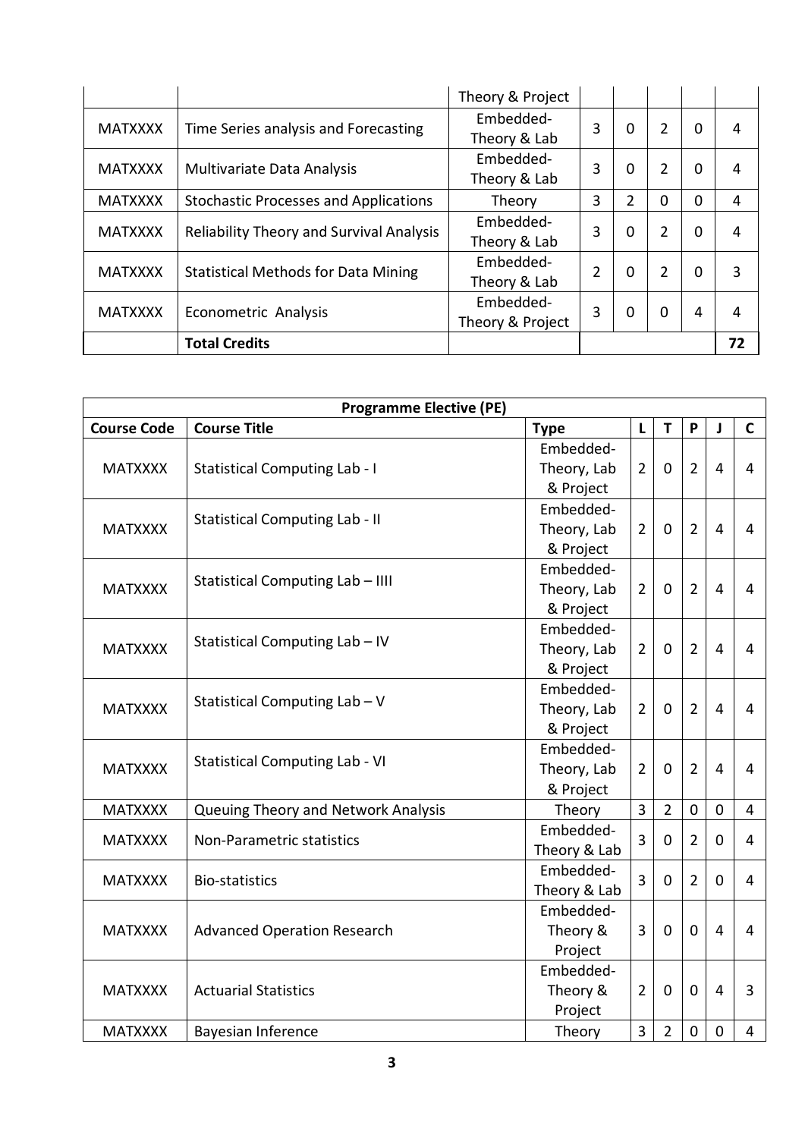|                |                                                     | Theory & Project |   |                |   |   |    |
|----------------|-----------------------------------------------------|------------------|---|----------------|---|---|----|
| <b>MATXXXX</b> | Time Series analysis and Forecasting                | Embedded-        | 3 | 0              | 2 | 0 | 4  |
|                |                                                     | Theory & Lab     |   |                |   |   |    |
|                |                                                     | Embedded-        | 3 | 0              | 2 | 0 | 4  |
|                | <b>MATXXXX</b><br><b>Multivariate Data Analysis</b> |                  |   |                |   |   |    |
| <b>MATXXXX</b> | <b>Stochastic Processes and Applications</b>        | Theory           | 3 | 2              | 0 | 0 | 4  |
|                | <b>Reliability Theory and Survival Analysis</b>     | Embedded-        | 3 | $\overline{0}$ | 2 |   |    |
| <b>MATXXXX</b> |                                                     | Theory & Lab     |   |                |   | 0 | 4  |
|                |                                                     | Embedded-        |   |                |   |   | 3  |
| <b>MATXXXX</b> | <b>Statistical Methods for Data Mining</b>          | Theory & Lab     | 2 | 0              | 2 | 0 |    |
| <b>MATXXXX</b> |                                                     | Embedded-        | 3 | 0              | 0 | 4 | 4  |
|                | Econometric Analysis                                | Theory & Project |   |                |   |   |    |
|                | <b>Total Credits</b>                                |                  |   |                |   |   | 72 |

|                    | <b>Programme Elective (PE)</b>        |                                       |                |                |                |                |                |  |  |
|--------------------|---------------------------------------|---------------------------------------|----------------|----------------|----------------|----------------|----------------|--|--|
| <b>Course Code</b> | <b>Course Title</b>                   | <b>Type</b>                           | L              | T              | P              | J              | $\mathbf C$    |  |  |
| <b>MATXXXX</b>     | <b>Statistical Computing Lab - I</b>  | Embedded-<br>Theory, Lab<br>& Project | $\overline{2}$ | $\mathbf 0$    | $\overline{2}$ | 4              | 4              |  |  |
| <b>MATXXXX</b>     | <b>Statistical Computing Lab - II</b> | Embedded-<br>Theory, Lab<br>& Project | $\overline{2}$ | $\mathbf 0$    | $\overline{2}$ | $\overline{4}$ | 4              |  |  |
| <b>MATXXXX</b>     | Statistical Computing Lab - IIII      | Embedded-<br>Theory, Lab<br>& Project | $\overline{2}$ | $\mathbf 0$    | $\overline{2}$ | 4              | 4              |  |  |
| <b>MATXXXX</b>     | Statistical Computing Lab - IV        | Embedded-<br>Theory, Lab<br>& Project | $\overline{2}$ | $\mathbf{0}$   | $\overline{2}$ | 4              | 4              |  |  |
| <b>MATXXXX</b>     | Statistical Computing Lab - V         | Embedded-<br>Theory, Lab<br>& Project | $\overline{2}$ | $\mathbf 0$    | $\overline{2}$ | $\overline{4}$ | 4              |  |  |
| <b>MATXXXX</b>     | <b>Statistical Computing Lab - VI</b> | Embedded-<br>Theory, Lab<br>& Project | $\overline{2}$ | $\mathbf 0$    | $\overline{2}$ | $\overline{4}$ | 4              |  |  |
| <b>MATXXXX</b>     | Queuing Theory and Network Analysis   | Theory                                | 3              | $\overline{2}$ | $\mathbf 0$    | $\mathbf 0$    | 4              |  |  |
| <b>MATXXXX</b>     | Non-Parametric statistics             | Embedded-<br>Theory & Lab             | 3              | $\mathbf 0$    | $\overline{2}$ | $\mathbf 0$    | 4              |  |  |
| <b>MATXXXX</b>     | <b>Bio-statistics</b>                 | Embedded-<br>Theory & Lab             | 3              | $\mathbf 0$    | $\overline{2}$ | $\mathbf{0}$   | 4              |  |  |
| <b>MATXXXX</b>     | <b>Advanced Operation Research</b>    | Embedded-<br>Theory &<br>Project      | 3              | $\mathbf 0$    | $\mathbf 0$    | 4              | 4              |  |  |
| <b>MATXXXX</b>     | <b>Actuarial Statistics</b>           | Embedded-<br>Theory &<br>Project      | $\overline{2}$ | $\mathbf 0$    | $\mathbf 0$    | 4              | 3              |  |  |
| <b>MATXXXX</b>     | <b>Bayesian Inference</b>             | Theory                                | 3              | $\overline{2}$ | $\mathbf 0$    | $\mathbf 0$    | $\overline{4}$ |  |  |